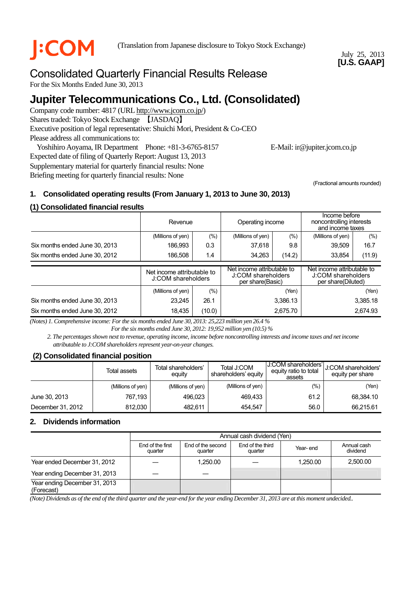

**COM** (Translation from Japanese disclosure to Tokyo Stock Exchange)

July 25, 2013 **[U.S. GAAP]** 

# Consolidated Quarterly Financial Results Release

For the Six Months Ended June 30, 2013

# **Jupiter Telecommunications Co., Ltd. (Consolidated)**

Company code number: 4817 (URL http://www.jcom.co.jp/) Shares traded: Tokyo Stock Exchange 【JASDAQ】 Executive position of legal representative: Shuichi Mori, President & Co-CEO Please address all communications to:

Yoshihiro Aoyama, IR Department Phone: +81-3-6765-8157 E-Mail: ir@jupiter.jcom.co.jp Expected date of filing of Quarterly Report: August 13, 2013 Supplementary material for quarterly financial results: None

Briefing meeting for quarterly financial results: None

(Fractional amounts rounded)

# **1. Consolidated operating results (From January 1, 2013 to June 30, 2013)**

# **(1) Consolidated financial results**

|                                |                                                  | Operating income<br>Revenue |                                                                      | Income before<br>noncontrolling interests<br>and income taxes |                                                                        |          |
|--------------------------------|--------------------------------------------------|-----------------------------|----------------------------------------------------------------------|---------------------------------------------------------------|------------------------------------------------------------------------|----------|
|                                | (Millions of yen)                                | (%)                         | (Millions of yen)                                                    | $(\%)$                                                        | (Millions of yen)                                                      | $(\% )$  |
| Six months ended June 30, 2013 | 186.993                                          | 0.3                         | 37,618                                                               | 9.8                                                           | 39,509                                                                 | 16.7     |
| Six months ended June 30, 2012 | 186,508                                          | 1.4                         | 34,263<br>(14.2)                                                     |                                                               | 33,854                                                                 | (11.9)   |
|                                | Net income attributable to<br>J:COM shareholders |                             | Net income attributable to<br>J:COM shareholders<br>per share(Basic) |                                                               | Net income attributable to<br>J:COM shareholders<br>per share(Diluted) |          |
|                                | (Millions of yen)                                | $(\%)$                      | (Yen)                                                                |                                                               | (Yen)                                                                  |          |
| Six months ended June 30, 2013 | 23.245                                           | 26.1                        | 3,386.13                                                             |                                                               |                                                                        | 3,385.18 |
| Six months ended June 30, 2012 | 18,435                                           | (10.0)                      | 2,675.70                                                             |                                                               |                                                                        | 2,674.93 |

*(Notes) 1. Comprehensive income: For the six months ended June 30, 2013: 25,223 million yen 26.4 % For the six months ended June 30, 2012: 19,952 million yen (10.5) %* 

*2. The percentages shown next to revenue, operating income, income before noncontrolling interests and income taxes and net income attributable to J:COM shareholders represent year-on-year changes.* 

### **(2) Consolidated financial position**

|                   | Total assets      | Total shareholders'<br>equity | Total J:COM<br>shareholders' equity | J:COM shareholders'l<br>equity ratio to total<br>assets | U:COM shareholders'<br>equity per share |
|-------------------|-------------------|-------------------------------|-------------------------------------|---------------------------------------------------------|-----------------------------------------|
|                   | (Millions of yen) | (Millions of yen)             | (Millions of yen)                   | (%)                                                     | (Yen)                                   |
| June 30, 2013     | 767.193           | 496.023                       | 469.433                             | 61.2                                                    | 68.384.10                               |
| December 31, 2012 | 812.030           | 482.611                       | 454.547                             | 56.0                                                    | 66,215.61                               |

### **2. Dividends information**

|                                             | Annual cash dividend (Yen)  |                              |                             |          |                         |  |
|---------------------------------------------|-----------------------------|------------------------------|-----------------------------|----------|-------------------------|--|
|                                             | End of the first<br>quarter | End of the second<br>quarter | End of the third<br>quarter | Year-end | Annual cash<br>dividend |  |
| Year ended December 31, 2012                |                             | 1.250.00                     |                             | 1.250.00 | 2,500.00                |  |
| Year ending December 31, 2013               |                             |                              |                             |          |                         |  |
| Year ending December 31, 2013<br>(Forecast) |                             |                              |                             |          |                         |  |

*(Note) Dividends as of the end of the third quarter and the year-end for the year ending December 31, 2013 are at this moment undecided..*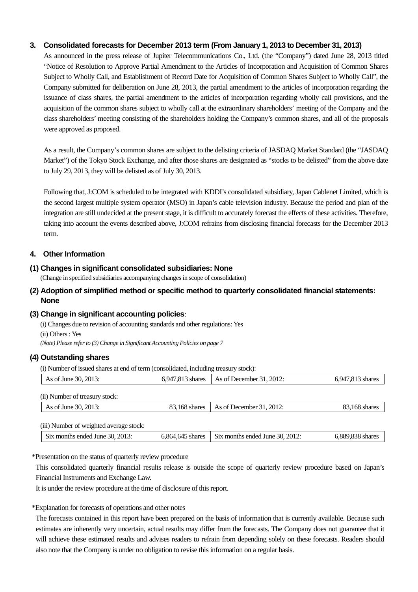#### **3. Consolidated forecasts for December 2013 term (From January 1, 2013 to December 31, 2013)**

As announced in the press release of Jupiter Telecommunications Co., Ltd. (the "Company") dated June 28, 2013 titled "Notice of Resolution to Approve Partial Amendment to the Articles of Incorporation and Acquisition of Common Shares Subject to Wholly Call, and Establishment of Record Date for Acquisition of Common Shares Subject to Wholly Call", the Company submitted for deliberation on June 28, 2013, the partial amendment to the articles of incorporation regarding the issuance of class shares, the partial amendment to the articles of incorporation regarding wholly call provisions, and the acquisition of the common shares subject to wholly call at the extraordinary shareholders' meeting of the Company and the class shareholders' meeting consisting of the shareholders holding the Company's common shares, and all of the proposals were approved as proposed.

As a result, the Company's common shares are subject to the delisting criteria of JASDAQ Market Standard (the "JASDAQ Market") of the Tokyo Stock Exchange, and after those shares are designated as "stocks to be delisted" from the above date to July 29, 2013, they will be delisted as of July 30, 2013.

Following that, J:COM is scheduled to be integrated with KDDI's consolidated subsidiary, Japan Cablenet Limited, which is the second largest multiple system operator (MSO) in Japan's cable television industry. Because the period and plan of the integration are still undecided at the present stage, it is difficult to accurately forecast the effects of these activities. Therefore, taking into account the events described above, J:COM refrains from disclosing financial forecasts for the December 2013 term.

#### **4. Other Information**

#### **(1) Changes in significant consolidated subsidiaries: None**

(Change in specified subsidiaries accompanying changes in scope of consolidation)

### **(2) Adoption of simplified method or specific method to quarterly consolidated financial statements: None**

#### **(3) Change in significant accounting policies**:

(i) Changes due to revision of accounting standards and other regulations: Yes (ii) Others : Yes *(Note) Please refer to (3) Change in Significant Accounting Policies on page 7*

#### **(4) Outstanding shares**

(i) Number of issued shares at end of term (consolidated, including treasury stock):

| As of June 30, 2013:                    | 6,947,813 shares | As of December $31, 2012$ :     | 6,947,813 shares |
|-----------------------------------------|------------------|---------------------------------|------------------|
|                                         |                  |                                 |                  |
| (ii) Number of treasury stock:          |                  |                                 |                  |
| As of June 30, 2013:                    | 83,168 shares    | As of December 31, 2012:        | 83,168 shares    |
|                                         |                  |                                 |                  |
| (iii) Number of weighted average stock: |                  |                                 |                  |
| Six months ended June 30, 2013:         | 6,864,645 shares | Six months ended June 30, 2012: | 6,889,838 shares |

#### \*Presentation on the status of quarterly review procedure

This consolidated quarterly financial results release is outside the scope of quarterly review procedure based on Japan's Financial Instruments and Exchange Law.

It is under the review procedure at the time of disclosure of this report.

#### \*Explanation for forecasts of operations and other notes

The forecasts contained in this report have been prepared on the basis of information that is currently available. Because such estimates are inherently very uncertain, actual results may differ from the forecasts. The Company does not guarantee that it will achieve these estimated results and advises readers to refrain from depending solely on these forecasts. Readers should also note that the Company is under no obligation to revise this information on a regular basis.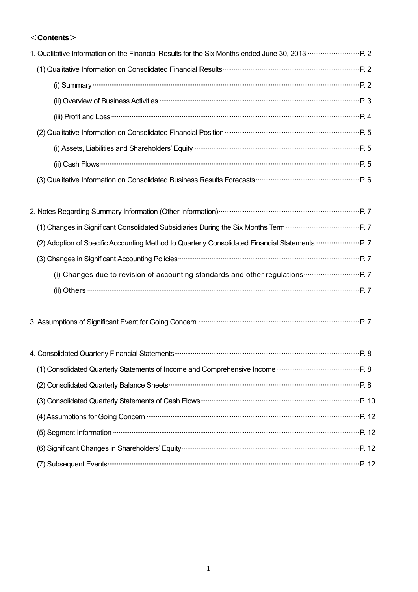# <**Contents**>

| 1. Qualitative Information on the Financial Results for the Six Months ended June 30, 2013 <b></b> P. 2                                                                                                                                  |  |
|------------------------------------------------------------------------------------------------------------------------------------------------------------------------------------------------------------------------------------------|--|
|                                                                                                                                                                                                                                          |  |
| (i) Summary $\cdots$ $P. 2$                                                                                                                                                                                                              |  |
| (ii) Overview of Business Activities <b>much construct to the Constantine Construct</b> P. 3                                                                                                                                             |  |
| (iii) Profit and Loss <b>continues</b> and continues and continues and profit and Loss <b>continues and continues and profit and loss</b> continues and profit and continues and profit and continues and profit and profit and profit a |  |
| (2) Qualitative Information on Consolidated Financial Position (2) Qualitative Information on Consolidated Financial Position (2) Oualitative Information on Consolidated Financial Position (2007)                                      |  |
| (i) Assets, Liabilities and Shareholders' Equity manufacture and the content of the Shareholders' Equity manufacture                                                                                                                     |  |
| $(ii)$ Cash Flows $\cdots$ $P.5$                                                                                                                                                                                                         |  |
|                                                                                                                                                                                                                                          |  |
|                                                                                                                                                                                                                                          |  |
|                                                                                                                                                                                                                                          |  |
|                                                                                                                                                                                                                                          |  |

| The manges in organicant consolidated outsidiaries During the OIX Montris Term                                                                                                                                                       |  |
|--------------------------------------------------------------------------------------------------------------------------------------------------------------------------------------------------------------------------------------|--|
|                                                                                                                                                                                                                                      |  |
|                                                                                                                                                                                                                                      |  |
| (i) Changes due to revision of accounting standards and other regulations <b>Constanting Constanting Constanting Constanting Constanting Constanting Constanting Constanting Constanting Constanting Constanting Constanting Con</b> |  |
|                                                                                                                                                                                                                                      |  |

|  |  | 3. Assumptions of Significant Event for Going Concern <b>With Communistion Concerns</b> 2. Assumptions of Significant Event for Going Concern <b>With Concerns</b> 2. |  |  |
|--|--|-----------------------------------------------------------------------------------------------------------------------------------------------------------------------|--|--|
|--|--|-----------------------------------------------------------------------------------------------------------------------------------------------------------------------|--|--|

| (4) Assumptions for Going Concern manufactured and announcement of Assumptions for Going Concern manufactured                                                                                                                 |  |
|-------------------------------------------------------------------------------------------------------------------------------------------------------------------------------------------------------------------------------|--|
| (5) Segment Information material content and the content of the content of the content of the content of the content of the content of the content of the content of the content of the content of the content of the content |  |
|                                                                                                                                                                                                                               |  |
|                                                                                                                                                                                                                               |  |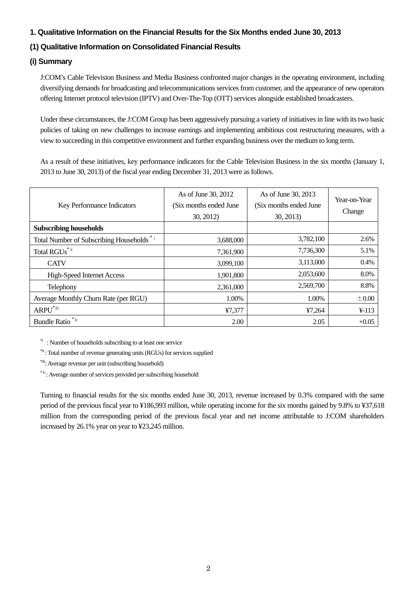### **1. Qualitative Information on the Financial Results for the Six Months ended June 30, 2013**

# **(1) Qualitative Information on Consolidated Financial Results**

## **(i) Summary**

J:COM's Cable Television Business and Media Business confronted major changes in the operating environment, including diversifying demands for broadcasting and telecommunications services from customer, and the appearance of new operators offering Internet protocol television (IPTV) and Over-The-Top (OTT) services alongside established broadcasters.

Under these circumstances, the J:COM Group has been aggressively pursuing a variety of initiatives in line with its two basic policies of taking on new challenges to increase earnings and implementing ambitious cost restructuring measures, with a view to succeeding in this competitive environment and further expanding business over the medium to long term.

As a result of these initiatives, key performance indicators for the Cable Television Business in the six months (January 1, 2013 to June 30, 2013) of the fiscal year ending December 31, 2013 were as follows.

| Key Performance Indicators                 | As of June 30, 2012<br>(Six months ended June<br>30, 2012 | As of June 30, 2013<br>(Six months ended June<br>30, 2013) | Year-on-Year<br>Change |
|--------------------------------------------|-----------------------------------------------------------|------------------------------------------------------------|------------------------|
| <b>Subscribing households</b>              |                                                           |                                                            |                        |
| Total Number of Subscribing Households *** | 3,688,000                                                 | 3,782,100                                                  | 2.6%                   |
| Total RGUs <sup>*ii</sup>                  | 7,361,900                                                 | 7,736,300                                                  | 5.1%                   |
| <b>CATV</b>                                | 3,099,100                                                 | 3,113,000                                                  | 0.4%                   |
| <b>High-Speed Internet Access</b>          | 1,901,800                                                 | 2,053,600                                                  | 8.0%                   |
| Telephony                                  | 2,361,000                                                 | 2,569,700                                                  | 8.8%                   |
| Average Monthly Churn Rate (per RGU)       | 1.00%                                                     | 1.00%                                                      | $\pm 0.00$             |
| $ARPU^{\text{*iii}}$                       | ¥7,377                                                    | ¥7,264                                                     | $4 - 113$              |
| Bundle Ratio <sup>*iv</sup>                | 2.00                                                      | 2.05                                                       | $+0.05$                |

\*i : Number of households subscribing to at least one service

\*ii : Total number of revenue generating units (RGUs) for services supplied

\*iii: Average revenue per unit (subscribing household)

\*ⅳ: Average number of services provided per subscribing household

Turning to financial results for the six months ended June 30, 2013, revenue increased by 0.3% compared with the same period of the previous fiscal year to ¥186,993 million, while operating income for the six months gained by 9.8% to ¥37,618 million from the corresponding period of the previous fiscal year and net income attributable to J:COM shareholders increased by 26.1% year on year to ¥23,245 million.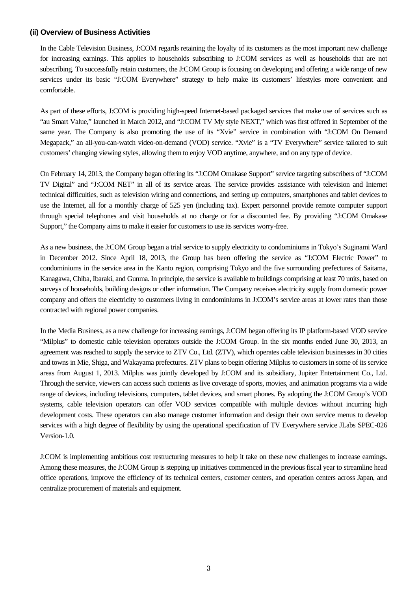#### **(ii) Overview of Business Activities**

In the Cable Television Business, J:COM regards retaining the loyalty of its customers as the most important new challenge for increasing earnings. This applies to households subscribing to J:COM services as well as households that are not subscribing. To successfully retain customers, the J:COM Group is focusing on developing and offering a wide range of new services under its basic "J:COM Everywhere" strategy to help make its customers' lifestyles more convenient and comfortable.

As part of these efforts, J:COM is providing high-speed Internet-based packaged services that make use of services such as "au Smart Value," launched in March 2012, and "J:COM TV My style NEXT," which was first offered in September of the same year. The Company is also promoting the use of its "Xvie" service in combination with "J:COM On Demand Megapack," an all-you-can-watch video-on-demand (VOD) service. "Xvie" is a "TV Everywhere" service tailored to suit customers' changing viewing styles, allowing them to enjoy VOD anytime, anywhere, and on any type of device.

On February 14, 2013, the Company began offering its "J:COM Omakase Support" service targeting subscribers of "J:COM TV Digital" and "J:COM NET" in all of its service areas. The service provides assistance with television and Internet technical difficulties, such as television wiring and connections, and setting up computers, smartphones and tablet devices to use the Internet, all for a monthly charge of 525 yen (including tax). Expert personnel provide remote computer support through special telephones and visit households at no charge or for a discounted fee. By providing "J:COM Omakase Support," the Company aims to make it easier for customers to use its services worry-free.

As a new business, the J:COM Group began a trial service to supply electricity to condominiums in Tokyo's Suginami Ward in December 2012. Since April 18, 2013, the Group has been offering the service as "J:COM Electric Power" to condominiums in the service area in the Kanto region, comprising Tokyo and the five surrounding prefectures of Saitama, Kanagawa, Chiba, Ibaraki, and Gunma. In principle, the service is available to buildings comprising at least 70 units, based on surveys of households, building designs or other information. The Company receives electricity supply from domestic power company and offers the electricity to customers living in condominiums in J:COM's service areas at lower rates than those contracted with regional power companies.

In the Media Business, as a new challenge for increasing earnings, J:COM began offering its IP platform-based VOD service "Milplus" to domestic cable television operators outside the J:COM Group. In the six months ended June 30, 2013, an agreement was reached to supply the service to ZTV Co., Ltd. (ZTV), which operates cable television businesses in 30 cities and towns in Mie, Shiga, and Wakayama prefectures. ZTV plans to begin offering Milplus to customers in some of its service areas from August 1, 2013. Milplus was jointly developed by J:COM and its subsidiary, Jupiter Entertainment Co., Ltd. Through the service, viewers can access such contents as live coverage of sports, movies, and animation programs via a wide range of devices, including televisions, computers, tablet devices, and smart phones. By adopting the J:COM Group's VOD systems, cable television operators can offer VOD services compatible with multiple devices without incurring high development costs. These operators can also manage customer information and design their own service menus to develop services with a high degree of flexibility by using the operational specification of TV Everywhere service JLabs SPEC-026 Version-1.0.

J:COM is implementing ambitious cost restructuring measures to help it take on these new challenges to increase earnings. Among these measures, the J:COM Group is stepping up initiatives commenced in the previous fiscal year to streamline head office operations, improve the efficiency of its technical centers, customer centers, and operation centers across Japan, and centralize procurement of materials and equipment.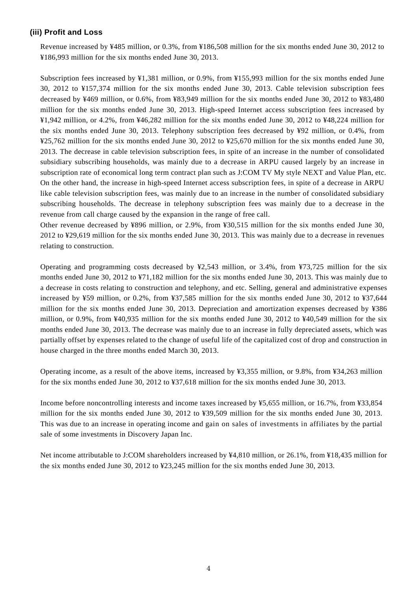#### **(iii) Profit and Loss**

Revenue increased by ¥485 million, or 0.3%, from ¥186,508 million for the six months ended June 30, 2012 to ¥186,993 million for the six months ended June 30, 2013.

Subscription fees increased by ¥1,381 million, or 0.9%, from ¥155,993 million for the six months ended June 30, 2012 to ¥157,374 million for the six months ended June 30, 2013. Cable television subscription fees decreased by ¥469 million, or 0.6%, from ¥83,949 million for the six months ended June 30, 2012 to ¥83,480 million for the six months ended June 30, 2013. High-speed Internet access subscription fees increased by ¥1,942 million, or 4.2%, from ¥46,282 million for the six months ended June 30, 2012 to ¥48,224 million for the six months ended June 30, 2013. Telephony subscription fees decreased by ¥92 million, or 0.4%, from ¥25,762 million for the six months ended June 30, 2012 to ¥25,670 million for the six months ended June 30, 2013. The decrease in cable television subscription fees, in spite of an increase in the number of consolidated subsidiary subscribing households, was mainly due to a decrease in ARPU caused largely by an increase in subscription rate of economical long term contract plan such as J:COM TV My style NEXT and Value Plan, etc. On the other hand, the increase in high-speed Internet access subscription fees, in spite of a decrease in ARPU like cable television subscription fees, was mainly due to an increase in the number of consolidated subsidiary subscribing households. The decrease in telephony subscription fees was mainly due to a decrease in the revenue from call charge caused by the expansion in the range of free call.

Other revenue decreased by ¥896 million, or 2.9%, from ¥30,515 million for the six months ended June 30, 2012 to ¥29,619 million for the six months ended June 30, 2013. This was mainly due to a decrease in revenues relating to construction.

Operating and programming costs decreased by  $\frac{1}{2}$ ,543 million, or 3.4%, from  $\frac{1}{2}$ ,725 million for the six months ended June 30, 2012 to ¥71,182 million for the six months ended June 30, 2013. This was mainly due to a decrease in costs relating to construction and telephony, and etc. Selling, general and administrative expenses increased by ¥59 million, or 0.2%, from ¥37,585 million for the six months ended June 30, 2012 to ¥37,644 million for the six months ended June 30, 2013. Depreciation and amortization expenses decreased by ¥386 million, or 0.9%, from ¥40,935 million for the six months ended June 30, 2012 to ¥40,549 million for the six months ended June 30, 2013. The decrease was mainly due to an increase in fully depreciated assets, which was partially offset by expenses related to the change of useful life of the capitalized cost of drop and construction in house charged in the three months ended March 30, 2013.

Operating income, as a result of the above items, increased by ¥3,355 million, or 9.8%, from ¥34,263 million for the six months ended June 30, 2012 to ¥37,618 million for the six months ended June 30, 2013.

Income before noncontrolling interests and income taxes increased by ¥5,655 million, or 16.7%, from ¥33,854 million for the six months ended June 30, 2012 to ¥39,509 million for the six months ended June 30, 2013. This was due to an increase in operating income and gain on sales of investments in affiliates by the partial sale of some investments in Discovery Japan Inc.

Net income attributable to J:COM shareholders increased by ¥4,810 million, or 26.1%, from ¥18,435 million for the six months ended June 30, 2012 to ¥23,245 million for the six months ended June 30, 2013.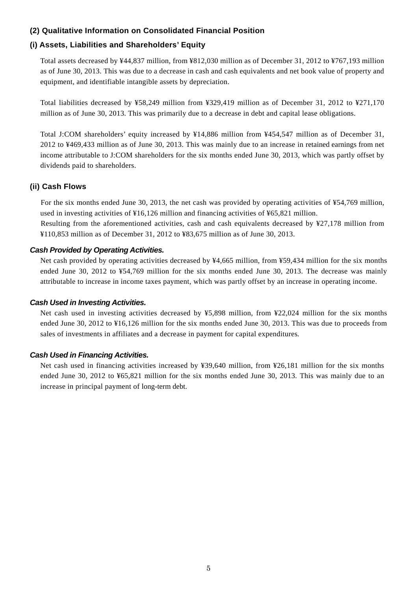### **(2) Qualitative Information on Consolidated Financial Position**

## **(i) Assets, Liabilities and Shareholders' Equity**

Total assets decreased by ¥44,837 million, from ¥812,030 million as of December 31, 2012 to ¥767,193 million as of June 30, 2013. This was due to a decrease in cash and cash equivalents and net book value of property and equipment, and identifiable intangible assets by depreciation.

Total liabilities decreased by ¥58,249 million from ¥329,419 million as of December 31, 2012 to ¥271,170 million as of June 30, 2013. This was primarily due to a decrease in debt and capital lease obligations.

Total J:COM shareholders' equity increased by ¥14,886 million from ¥454,547 million as of December 31, 2012 to ¥469,433 million as of June 30, 2013. This was mainly due to an increase in retained earnings from net income attributable to J:COM shareholders for the six months ended June 30, 2013, which was partly offset by dividends paid to shareholders.

### **(ii) Cash Flows**

For the six months ended June 30, 2013, the net cash was provided by operating activities of ¥54,769 million, used in investing activities of ¥16,126 million and financing activities of ¥65,821 million. Resulting from the aforementioned activities, cash and cash equivalents decreased by ¥27,178 million from ¥110,853 million as of December 31, 2012 to ¥83,675 million as of June 30, 2013.

### *Cash Provided by Operating Activities.*

Net cash provided by operating activities decreased by ¥4,665 million, from ¥59,434 million for the six months ended June 30, 2012 to ¥54,769 million for the six months ended June 30, 2013. The decrease was mainly attributable to increase in income taxes payment, which was partly offset by an increase in operating income.

### *Cash Used in Investing Activities.*

Net cash used in investing activities decreased by ¥5,898 million, from ¥22,024 million for the six months ended June 30, 2012 to ¥16,126 million for the six months ended June 30, 2013. This was due to proceeds from sales of investments in affiliates and a decrease in payment for capital expenditures*.* 

### *Cash Used in Financing Activities.*

Net cash used in financing activities increased by ¥39,640 million, from ¥26,181 million for the six months ended June 30, 2012 to ¥65,821 million for the six months ended June 30, 2013. This was mainly due to an increase in principal payment of long-term debt.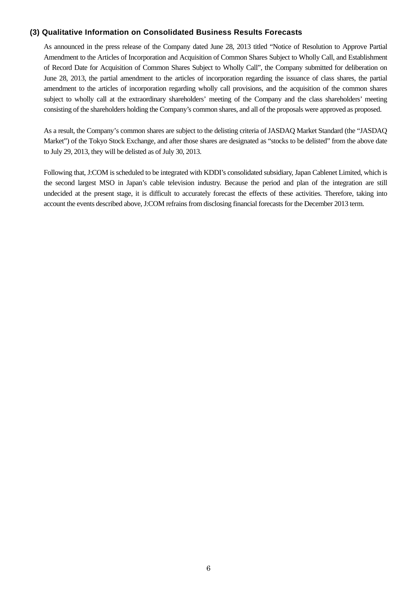#### **(3) Qualitative Information on Consolidated Business Results Forecasts**

As announced in the press release of the Company dated June 28, 2013 titled "Notice of Resolution to Approve Partial Amendment to the Articles of Incorporation and Acquisition of Common Shares Subject to Wholly Call, and Establishment of Record Date for Acquisition of Common Shares Subject to Wholly Call", the Company submitted for deliberation on June 28, 2013, the partial amendment to the articles of incorporation regarding the issuance of class shares, the partial amendment to the articles of incorporation regarding wholly call provisions, and the acquisition of the common shares subject to wholly call at the extraordinary shareholders' meeting of the Company and the class shareholders' meeting consisting of the shareholders holding the Company's common shares, and all of the proposals were approved as proposed.

As a result, the Company's common shares are subject to the delisting criteria of JASDAQ Market Standard (the "JASDAQ Market") of the Tokyo Stock Exchange, and after those shares are designated as "stocks to be delisted" from the above date to July 29, 2013, they will be delisted as of July 30, 2013.

Following that, J:COM is scheduled to be integrated with KDDI's consolidated subsidiary, Japan Cablenet Limited, which is the second largest MSO in Japan's cable television industry. Because the period and plan of the integration are still undecided at the present stage, it is difficult to accurately forecast the effects of these activities. Therefore, taking into account the events described above, J:COM refrains from disclosing financial forecasts for the December 2013 term.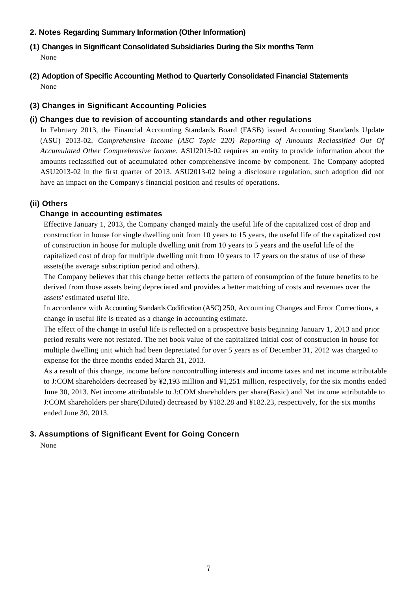## **2. Notes Regarding Summary Information (Other Information)**

- **(1) Changes in Significant Consolidated Subsidiaries During the Six months Term** None
- **(2) Adoption of Specific Accounting Method to Quarterly Consolidated Financial Statements**  None

# **(3) Changes in Significant Accounting Policies**

# **(i) Changes due to revision of accounting standards and other regulations**

In February 2013, the Financial Accounting Standards Board (FASB) issued Accounting Standards Update (ASU) 2013-02, *Comprehensive Income (ASC Topic 220) Reporting of Amounts Reclassified Out Of Accumulated Other Comprehensive Income*. ASU2013-02 requires an entity to provide information about the amounts reclassified out of accumulated other comprehensive income by component. The Company adopted ASU2013-02 in the first quarter of 2013. ASU2013-02 being a disclosure regulation, such adoption did not have an impact on the Company's financial position and results of operations.

# **(ii) Others**

# **Change in accounting estimates**

Effective January 1, 2013, the Company changed mainly the useful life of the capitalized cost of drop and construction in house for single dwelling unit from 10 years to 15 years, the useful life of the capitalized cost of construction in house for multiple dwelling unit from 10 years to 5 years and the useful life of the capitalized cost of drop for multiple dwelling unit from 10 years to 17 years on the status of use of these assets(the average subscription period and others).

The Company believes that this change better reflects the pattern of consumption of the future benefits to be derived from those assets being depreciated and provides a better matching of costs and revenues over the assets' estimated useful life.

In accordance with Accounting Standards Codification (ASC) 250, Accounting Changes and Error Corrections, a change in useful life is treated as a change in accounting estimate.

The effect of the change in useful life is reflected on a prospective basis beginning January 1, 2013 and prior period results were not restated. The net book value of the capitalized initial cost of construcion in house for multiple dwelling unit which had been depreciated for over 5 years as of December 31, 2012 was charged to expense for the three months ended March 31, 2013.

As a result of this change, income before noncontrolling interests and income taxes and net income attributable to J:COM shareholders decreased by ¥2,193 million and ¥1,251 million, respectively, for the six months ended June 30, 2013. Net income attributable to J:COM shareholders per share(Basic) and Net income attributable to J:COM shareholders per share(Diluted) decreased by ¥182.28 and ¥182.23, respectively, for the six months ended June 30, 2013.

# **3. Assumptions of Significant Event for Going Concern**

None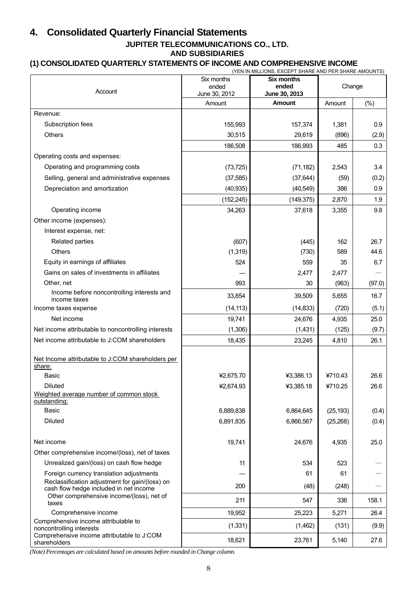# **4. Consolidated Quarterly Financial Statements**

#### **JUPITER TELECOMMUNICATIONS CO., LTD. AND SUBSIDIARIES**

# **(1) CONSOLIDATED QUARTERLY STATEMENTS OF INCOME AND COMPREHENSIVE INCOME**

|                                                                                          | Six months    | (YEN IN MILLIONS, EXCEPT SHARE AND PER SHARE AMOUNTS) |           |        |
|------------------------------------------------------------------------------------------|---------------|-------------------------------------------------------|-----------|--------|
|                                                                                          | ended         | <b>Six months</b><br>ended                            | Change    |        |
| Account                                                                                  | June 30, 2012 | June 30, 2013                                         |           |        |
|                                                                                          | Amount        | <b>Amount</b>                                         | Amount    | $(\%)$ |
| Revenue:                                                                                 |               |                                                       |           |        |
| Subscription fees                                                                        | 155,993       | 157,374                                               | 1,381     | 0.9    |
| <b>Others</b>                                                                            | 30,515        | 29,619                                                | (896)     | (2.9)  |
|                                                                                          | 186,508       | 186,993                                               | 485       | 0.3    |
| Operating costs and expenses:                                                            |               |                                                       |           |        |
| Operating and programming costs                                                          | (73, 725)     | (71, 182)                                             | 2,543     | 3.4    |
| Selling, general and administrative expenses                                             | (37, 585)     | (37, 644)                                             | (59)      | (0.2)  |
| Depreciation and amortization                                                            | (40, 935)     | (40, 549)                                             | 386       | 0.9    |
|                                                                                          | (152, 245)    | (149, 375)                                            | 2,870     | 1.9    |
| Operating income                                                                         | 34,263        | 37,618                                                | 3,355     | 9.8    |
| Other income (expenses):                                                                 |               |                                                       |           |        |
| Interest expense, net:                                                                   |               |                                                       |           |        |
| Related parties                                                                          | (607)         | (445)                                                 | 162       | 26.7   |
| <b>Others</b>                                                                            | (1, 319)      | (730)                                                 | 589       | 44.6   |
| Equity in earnings of affiliates                                                         | 524           | 559                                                   | 35        | 6.7    |
| Gains on sales of investments in affiliates                                              |               | 2,477                                                 | 2,477     |        |
| Other, net                                                                               | 993           | 30                                                    | (963)     | (97.0) |
| Income before noncontrolling interests and<br>income taxes                               | 33,854        | 39,509                                                | 5,655     | 16.7   |
| Income taxes expense                                                                     | (14, 113)     | (14, 833)                                             | (720)     | (5.1)  |
| Net income                                                                               | 19,741        | 24,676                                                | 4,935     | 25.0   |
| Net income attributable to noncontrolling interests                                      | (1,306)       | (1,431)                                               | (125)     | (9.7)  |
| Net income attributable to J:COM shareholders                                            | 18,435        | 23,245                                                | 4,810     | 26.1   |
|                                                                                          |               |                                                       |           |        |
| Net Income attributable to J:COM shareholders per<br>share:                              |               |                                                       |           |        |
| <b>Basic</b>                                                                             | ¥2,675.70     | ¥3,386.13                                             | ¥710.43   | 26.6   |
| Diluted                                                                                  | ¥2,674.93     | ¥3,385.18                                             | ¥710.25   | 26.6   |
| Weighted average number of common stock<br>outstanding:                                  |               |                                                       |           |        |
| <b>Basic</b>                                                                             | 6,889,838     | 6,864,645                                             | (25, 193) | (0.4)  |
| <b>Diluted</b>                                                                           | 6,891,835     | 6,866,567                                             | (25, 268) | (0.4)  |
| Net income                                                                               | 19,741        | 24,676                                                | 4,935     | 25.0   |
| Other comprehensive income/(loss), net of taxes                                          |               |                                                       |           |        |
| Unrealized gain/(loss) on cash flow hedge                                                | 11            | 534                                                   | 523       |        |
| Foreign currency translation adjustments                                                 |               | 61                                                    | 61        |        |
| Reclassification adjustment for gain/(loss) on<br>cash flow hedge included in net income | 200           | (48)                                                  | (248)     |        |
| Other comprehensive income/(loss), net of<br>taxes                                       | 211           | 547                                                   | 336       | 158.1  |
| Comprehensive income                                                                     | 19,952        | 25,223                                                | 5,271     | 26.4   |
| Comprehensive income attributable to<br>noncontrolling interests                         | (1, 331)      | (1,462)                                               | (131)     | (9.9)  |
| Comprehensive income attributable to J:COM<br>shareholders                               | 18,621        | 23,761                                                | 5,140     | 27.6   |

*(Note) Percentages are calculated based on amounts before rounded in Change column.*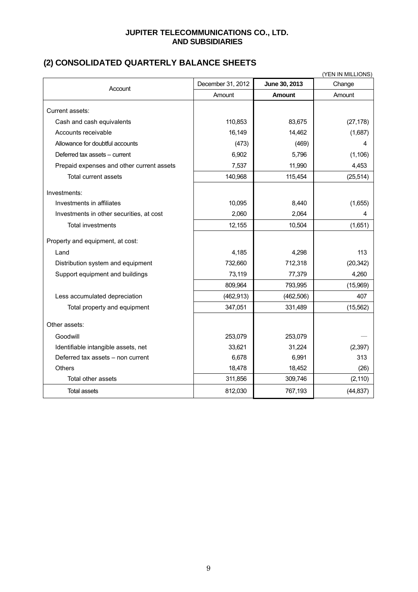### **JUPITER TELECOMMUNICATIONS CO., LTD. AND SUBSIDIARIES**

# **(2) CONSOLIDATED QUARTERLY BALANCE SHEETS**

| (YEN IN MILLIONS)                         |                   |               |           |  |
|-------------------------------------------|-------------------|---------------|-----------|--|
| Account                                   | December 31, 2012 | June 30, 2013 | Change    |  |
|                                           | Amount            | <b>Amount</b> | Amount    |  |
| Current assets:                           |                   |               |           |  |
| Cash and cash equivalents                 | 110,853           | 83,675        | (27, 178) |  |
| Accounts receivable                       | 16,149            | 14,462        | (1,687)   |  |
| Allowance for doubtful accounts           | (473)             | (469)         | 4         |  |
| Deferred tax assets – current             | 6,902             | 5,796         | (1, 106)  |  |
| Prepaid expenses and other current assets | 7,537             | 11,990        | 4,453     |  |
| Total current assets                      | 140,968           | 115,454       | (25, 514) |  |
| Investments:                              |                   |               |           |  |
| Investments in affiliates                 | 10,095            | 8,440         | (1,655)   |  |
| Investments in other securities, at cost  | 2,060             | 2,064         | 4         |  |
| <b>Total investments</b>                  | 12,155            | 10,504        | (1,651)   |  |
| Property and equipment, at cost:          |                   |               |           |  |
| Land                                      | 4,185             | 4,298         | 113       |  |
| Distribution system and equipment         | 732,660           | 712,318       | (20, 342) |  |
| Support equipment and buildings           | 73,119            | 77,379        | 4,260     |  |
|                                           | 809,964           | 793,995       | (15,969)  |  |
| Less accumulated depreciation             | (462, 913)        | (462, 506)    | 407       |  |
| Total property and equipment              | 347,051           | 331,489       | (15, 562) |  |
| Other assets:                             |                   |               |           |  |
| Goodwill                                  | 253,079           | 253,079       |           |  |
| Identifiable intangible assets, net       | 33,621            | 31,224        | (2, 397)  |  |
| Deferred tax assets - non current         | 6,678             | 6,991         | 313       |  |
| <b>Others</b>                             | 18,478            | 18,452        | (26)      |  |
| Total other assets                        | 311,856           | 309,746       | (2, 110)  |  |
| <b>Total assets</b>                       | 812,030           | 767,193       | (44, 837) |  |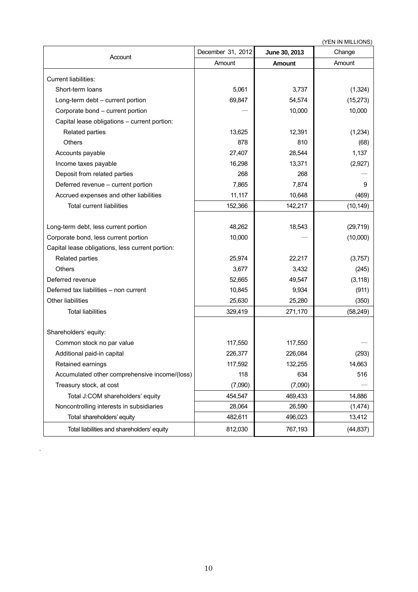| (YEN IN MILLIONS)                                |                   |               |           |  |
|--------------------------------------------------|-------------------|---------------|-----------|--|
| Account                                          | December 31, 2012 | June 30, 2013 | Change    |  |
|                                                  | Amount            | Amount        | Amount    |  |
| Current liabilities:                             |                   |               |           |  |
| Short-term loans                                 | 5,061             | 3,737         | (1, 324)  |  |
| Long-term debt - current portion                 | 69,847            | 54,574        | (15, 273) |  |
| Corporate bond - current portion                 |                   | 10,000        | 10,000    |  |
| Capital lease obligations - current portion:     |                   |               |           |  |
| Related parties                                  | 13,625            | 12,391        | (1,234)   |  |
| Others                                           | 878               | 810           | (68)      |  |
| Accounts payable                                 | 27,407            | 28,544        | 1,137     |  |
| Income taxes payable                             | 16,298            | 13,371        | (2,927)   |  |
| Deposit from related parties                     | 268               | 268           |           |  |
| Deferred revenue - current portion               | 7,865             | 7,874         | 9         |  |
| Accrued expenses and other liabilities           | 11,117            | 10,648        | (469)     |  |
| <b>Total current liabilities</b>                 | 152,366           | 142,217       | (10, 149) |  |
|                                                  |                   |               |           |  |
| Long-term debt, less current portion             | 48,262            | 18,543        | (29, 719) |  |
| Corporate bond, less current portion             | 10,000            |               | (10,000)  |  |
| Capital lease obligations, less current portion: |                   |               |           |  |
| Related parties                                  | 25,974            | 22,217        | (3,757)   |  |
| Others                                           | 3,677             | 3,432         | (245)     |  |
| Deferred revenue                                 | 52,665            | 49,547        | (3, 118)  |  |
| Deferred tax liabilities - non current           | 10,845            | 9,934         | (911)     |  |
| Other liabilities                                | 25,630            | 25,280        | (350)     |  |
| <b>Total liabilities</b>                         | 329,419           | 271,170       | (58, 249) |  |
|                                                  |                   |               |           |  |
| Shareholders' equity:                            |                   |               |           |  |
| Common stock no par value                        | 117,550           | 117,550       |           |  |
| Additional paid-in capital                       | 226,377           | 226,084       | (293)     |  |
| Retained earnings                                | 117,592           | 132,255       | 14,663    |  |
| Accumulated other comprehensive income/(loss)    | 118               | 634           | 516       |  |
| Treasury stock, at cost                          | (7,090)           | (7,090)       |           |  |
| Total J:COM shareholders' equity                 | 454,547           | 469,433       | 14,886    |  |
| Noncontrolling interests in subsidiaries         | 28,064            | 26,590        | (1,474)   |  |
| Total shareholders' equity                       | 482,611           | 496,023       | 13,412    |  |
| Total liabilities and shareholders' equity       | 812,030           | 767,193       | (44, 837) |  |

.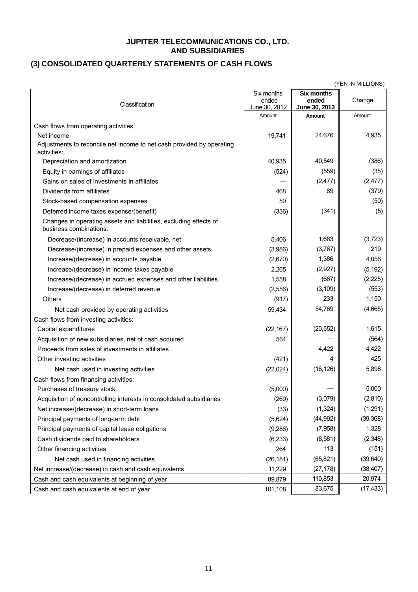#### **JUPITER TELECOMMUNICATIONS CO., LTD. AND SUBSIDIARIES**

# **(3) CONSOLIDATED QUARTERLY STATEMENTS OF CASH FLOWS**

| (YEN IN MILLIONS)                                                                           |                                      |                                             |           |
|---------------------------------------------------------------------------------------------|--------------------------------------|---------------------------------------------|-----------|
| Classification                                                                              | Six months<br>ended<br>June 30, 2012 | <b>Six months</b><br>ended<br>June 30, 2013 | Change    |
|                                                                                             | Amount                               | Amount                                      | Amount    |
| Cash flows from operating activities:                                                       |                                      |                                             |           |
| Net income                                                                                  | 19,741                               | 24,676                                      | 4,935     |
| Adjustments to reconcile net income to net cash provided by operating<br>activities:        |                                      |                                             |           |
| Depreciation and amortization                                                               | 40,935                               | 40,549                                      | (386)     |
| Equity in earnings of affiliates                                                            | (524)                                | (559)                                       | (35)      |
| Gains on sales of investments in affiliates                                                 |                                      | (2, 477)                                    | (2, 477)  |
| Dividends from affiliates                                                                   | 468                                  | 89                                          | (379)     |
| Stock-based compensation expenses                                                           | 50                                   |                                             | (50)      |
| Deferred income taxes expense/(benefit)                                                     | (336)                                | (341)                                       | (5)       |
| Changes in operating assets and liabilities, excluding effects of<br>business combinations: |                                      |                                             |           |
| Decrease/(increase) in accounts receivable, net                                             | 5,406                                | 1,683                                       | (3,723)   |
| Decrease/(increase) in prepaid expenses and other assets                                    | (3,986)                              | (3,767)                                     | 219       |
| Increase/(decrease) in accounts payable                                                     | (2,670)                              | 1,386                                       | 4,056     |
| Increase/(decrease) in income taxes payable                                                 | 2,265                                | (2,927)                                     | (5, 192)  |
| Increase/(decrease) in accrued expenses and other liabilities                               | 1,558                                | (667)                                       | (2, 225)  |
| Increase/(decrease) in deferred revenue                                                     | (2, 556)                             | (3, 109)                                    | (553)     |
| Others                                                                                      | (917)                                | 233                                         | 1,150     |
| Net cash provided by operating activities                                                   | 59,434                               | 54,769                                      | (4,665)   |
| Cash flows from investing activities:                                                       |                                      |                                             |           |
| Capital expenditures                                                                        | (22, 167)                            | (20, 552)                                   | 1,615     |
| Acquisition of new subsidiaries, net of cash acquired                                       | 564                                  |                                             | (564)     |
| Proceeds from sales of investments in affiliates                                            |                                      | 4,422                                       | 4,422     |
| Other investing activities                                                                  | (421)                                | 4                                           | 425       |
| Net cash used in investing activities                                                       | (22,024)                             | (16, 126)                                   | 5,898     |
| Cash flows from financing activities:                                                       |                                      |                                             |           |
| Purchases of treasury stock                                                                 | (5,000)                              |                                             | 5,000     |
| Acquisition of noncontrolling interests in consolidated subsidiaries                        | (269)                                | (3,079)                                     | (2,810)   |
| Net increase/(decrease) in short-term loans                                                 | (33)                                 | (1, 324)                                    | (1,291)   |
| Principal payments of long-term debt                                                        | (5,624)                              | (44, 992)                                   | (39, 368) |
| Principal payments of capital lease obligations                                             | (9,286)                              | (7,958)                                     | 1,328     |
| Cash dividends paid to shareholders                                                         | (6, 233)                             | (8,581)                                     | (2,348)   |
| Other financing activities                                                                  | 264                                  | 113                                         | (151)     |
| Net cash used in financing activities                                                       | (26, 181)                            | (65, 821)                                   | (39, 640) |
| Net increase/(decrease) in cash and cash equivalents                                        | 11,229                               | (27, 178)                                   | (38, 407) |
| Cash and cash equivalents at beginning of year                                              | 89,879                               | 110,853                                     | 20,974    |
| Cash and cash equivalents at end of year                                                    | 101,108                              | 83,675                                      | (17, 433) |